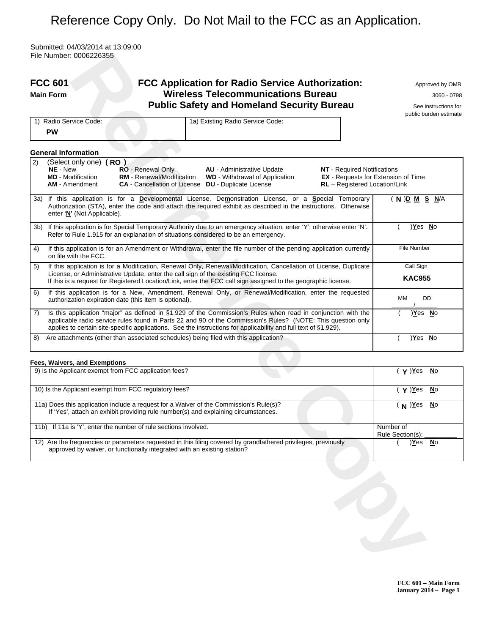# Reference Copy Only. Do Not Mail to the FCC as an Application.

Submitted: 04/03/2014 at 13:09:00 File Number: 0006226355

|     | <b>FCC 601</b><br><b>Main Form</b>                                                                                  | FCC Application for Radio Service Authorization:<br><b>Wireless Telecommunications Bureau</b><br><b>Public Safety and Homeland Security Bureau</b>                                                                                                                                                                                              |                                                                                                                   | Approved by OMB<br>3060 - 0798<br>See instructions for<br>public burden estimate |
|-----|---------------------------------------------------------------------------------------------------------------------|-------------------------------------------------------------------------------------------------------------------------------------------------------------------------------------------------------------------------------------------------------------------------------------------------------------------------------------------------|-------------------------------------------------------------------------------------------------------------------|----------------------------------------------------------------------------------|
|     | 1) Radio Service Code:<br><b>PW</b>                                                                                 | 1a) Existing Radio Service Code:                                                                                                                                                                                                                                                                                                                |                                                                                                                   |                                                                                  |
|     | <b>General Information</b>                                                                                          |                                                                                                                                                                                                                                                                                                                                                 |                                                                                                                   |                                                                                  |
| 2)  | (Select only one) (RO)<br>NE - New<br><b>RO</b> - Renewal Only<br><b>MD</b> - Modification<br><b>AM</b> - Amendment | <b>AU</b> - Administrative Update<br><b>RM</b> - Renewal/Modification<br><b>WD</b> - Withdrawal of Application<br><b>CA</b> - Cancellation of License <b>DU</b> - Duplicate License                                                                                                                                                             | <b>NT</b> - Required Notifications<br><b>EX</b> - Requests for Extension of Time<br>RL - Registered Location/Link |                                                                                  |
|     | enter 'N' (Not Applicable).                                                                                         | 3a) If this application is for a Developmental License, Demonstration License, or a Special Temporary<br>Authorization (STA), enter the code and attach the required exhibit as described in the instructions. Otherwise                                                                                                                        |                                                                                                                   | ( N ) <u>D M S N</u> /A                                                          |
| 3b) |                                                                                                                     | If this application is for Special Temporary Authority due to an emergency situation, enter 'Y'; otherwise enter 'N'.<br>Refer to Rule 1.915 for an explanation of situations considered to be an emergency.                                                                                                                                    |                                                                                                                   | <u>Yes No</u>                                                                    |
| 4)  | on file with the FCC.                                                                                               | If this application is for an Amendment or Withdrawal, enter the file number of the pending application currently                                                                                                                                                                                                                               |                                                                                                                   | <b>File Number</b>                                                               |
| 5)  |                                                                                                                     | If this application is for a Modification, Renewal Only, Renewal/Modification, Cancellation of License, Duplicate<br>License, or Administrative Update, enter the call sign of the existing FCC license.<br>If this is a request for Registered Location/Link, enter the FCC call sign assigned to the geographic license.                      |                                                                                                                   | Call Sign<br><b>KAC955</b>                                                       |
| 6)  | authorization expiration date (this item is optional).                                                              | If this application is for a New, Amendment, Renewal Only, or Renewal/Modification, enter the requested                                                                                                                                                                                                                                         |                                                                                                                   | DD<br>MМ                                                                         |
| 7)  |                                                                                                                     | Is this application "major" as defined in §1.929 of the Commission's Rules when read in conjunction with the<br>applicable radio service rules found in Parts 22 and 90 of the Commission's Rules? (NOTE: This question only<br>applies to certain site-specific applications. See the instructions for applicability and full text of §1.929). |                                                                                                                   | )Yes No                                                                          |
| 8)  |                                                                                                                     | Are attachments (other than associated schedules) being filed with this application?                                                                                                                                                                                                                                                            |                                                                                                                   | <u>)Yes No</u>                                                                   |
|     | Fees, Waivers, and Exemptions                                                                                       |                                                                                                                                                                                                                                                                                                                                                 |                                                                                                                   |                                                                                  |
|     | 9) Is the Applicant exempt from FCC application fees?                                                               |                                                                                                                                                                                                                                                                                                                                                 |                                                                                                                   | $(\gamma)\overline{Yes}$<br>$\underline{\mathsf{N}}$ o                           |
|     | 10) Is the Applicant exempt from FCC regulatory fees?                                                               |                                                                                                                                                                                                                                                                                                                                                 |                                                                                                                   | $( Y )$ Yes<br>$\underline{\mathsf{N}}$ o                                        |
|     |                                                                                                                     | 11a) Does this application include a request for a Waiver of the Commission's Rule(s)?<br>If 'Yes', attach an exhibit providing rule number(s) and explaining circumstances.                                                                                                                                                                    |                                                                                                                   | $(N)$ Yes<br>$\underline{\mathsf{N}}$ o                                          |
|     | 11b) If 11a is 'Y', enter the number of rule sections involved.                                                     |                                                                                                                                                                                                                                                                                                                                                 |                                                                                                                   | Number of<br>Rule Section(s):                                                    |
|     | approved by waiver, or functionally integrated with an existing station?                                            | 12) Are the frequencies or parameters requested in this filing covered by grandfathered privileges, previously                                                                                                                                                                                                                                  |                                                                                                                   | <u>)Yes No</u>                                                                   |
|     |                                                                                                                     |                                                                                                                                                                                                                                                                                                                                                 |                                                                                                                   |                                                                                  |

#### **Fees, Waivers, and Exemptions**

| 9) Is the Applicant exempt from FCC application fees?                                                                                                                                      | $\mathbf{y}$ )Yes<br><b>N</b> o |
|--------------------------------------------------------------------------------------------------------------------------------------------------------------------------------------------|---------------------------------|
| 10) Is the Applicant exempt from FCC regulatory fees?                                                                                                                                      | $Y$ )Yes<br><b>N</b> o          |
| 11a) Does this application include a request for a Waiver of the Commission's Rule(s)?<br>If 'Yes', attach an exhibit providing rule number(s) and explaining circumstances.               | $N$ ) $Y$ es<br><b>No</b>       |
| 11b) If 11a is 'Y', enter the number of rule sections involved.                                                                                                                            | Number of<br>Rule Section(s):   |
| 12) Are the frequencies or parameters requested in this filing covered by grandfathered privileges, previously<br>approved by waiver, or functionally integrated with an existing station? | Yes<br>No                       |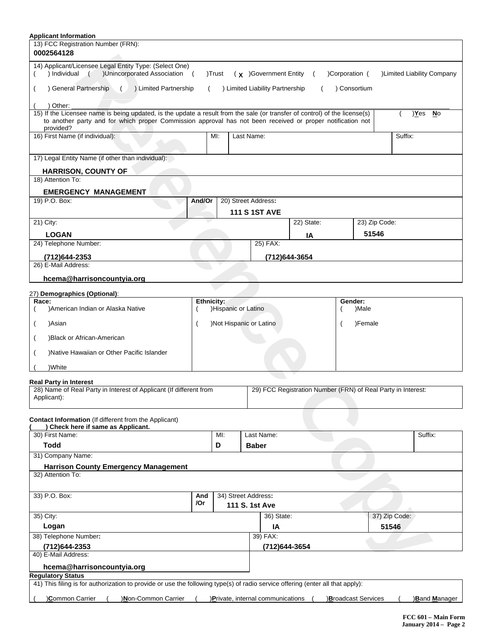| <b>Applicant Information</b>                                                                                                                                                                                                                          |            |                         |                      |                                   |                                                              |                |                    |               |                            |
|-------------------------------------------------------------------------------------------------------------------------------------------------------------------------------------------------------------------------------------------------------|------------|-------------------------|----------------------|-----------------------------------|--------------------------------------------------------------|----------------|--------------------|---------------|----------------------------|
| 13) FCC Registration Number (FRN):<br>0002564128                                                                                                                                                                                                      |            |                         |                      |                                   |                                                              |                |                    |               |                            |
|                                                                                                                                                                                                                                                       |            |                         |                      |                                   |                                                              |                |                    |               |                            |
| 14) Applicant/Licensee Legal Entity Type: (Select One)<br>) Individual ( )Unincorporated Association (                                                                                                                                                |            | )Trust                  |                      | $(x)$ Government Entity           | $\sqrt{2}$                                                   | )Corporation ( |                    |               | )Limited Liability Company |
| ) General Partnership<br>( ) Limited Partnership                                                                                                                                                                                                      | $\left($   |                         |                      | ) Limited Liability Partnership   | $\left($                                                     |                | ) Consortium       |               |                            |
| ) Other:                                                                                                                                                                                                                                              |            |                         |                      |                                   |                                                              |                |                    |               |                            |
| 15) If the Licensee name is being updated, is the update a result from the sale (or transfer of control) of the license(s)<br>to another party and for which proper Commission approval has not been received or proper notification not<br>provided? |            |                         |                      |                                   |                                                              |                |                    |               | <u>)Yes No</u>             |
| 16) First Name (if individual):                                                                                                                                                                                                                       |            | MI:                     | Last Name:           |                                   |                                                              |                |                    | Suffix:       |                            |
|                                                                                                                                                                                                                                                       |            |                         |                      |                                   |                                                              |                |                    |               |                            |
| 17) Legal Entity Name (if other than individual):                                                                                                                                                                                                     |            |                         |                      |                                   |                                                              |                |                    |               |                            |
| <b>HARRISON, COUNTY OF</b>                                                                                                                                                                                                                            |            |                         |                      |                                   |                                                              |                |                    |               |                            |
| 18) Attention To:                                                                                                                                                                                                                                     |            |                         |                      |                                   |                                                              |                |                    |               |                            |
| <b>EMERGENCY MANAGEMENT</b>                                                                                                                                                                                                                           |            |                         |                      |                                   |                                                              |                |                    |               |                            |
| 19) P.O. Box:                                                                                                                                                                                                                                         | And/Or     |                         | 20) Street Address:  |                                   |                                                              |                |                    |               |                            |
|                                                                                                                                                                                                                                                       |            |                         | <b>111 S 1ST AVE</b> |                                   |                                                              |                |                    |               |                            |
| 21) City:                                                                                                                                                                                                                                             |            |                         |                      |                                   | 22) State:                                                   |                | 23) Zip Code:      |               |                            |
| <b>LOGAN</b>                                                                                                                                                                                                                                          |            |                         |                      |                                   | IA                                                           |                | 51546              |               |                            |
| 24) Telephone Number:                                                                                                                                                                                                                                 |            |                         |                      | 25) FAX:                          |                                                              |                |                    |               |                            |
| (712)644-2353                                                                                                                                                                                                                                         |            |                         |                      | (712)644-3654                     |                                                              |                |                    |               |                            |
| 26) E-Mail Address:                                                                                                                                                                                                                                   |            |                         |                      |                                   |                                                              |                |                    |               |                            |
| hcema@harrisoncountyia.org                                                                                                                                                                                                                            |            |                         |                      |                                   |                                                              |                |                    |               |                            |
| 27) Demographics (Optional):                                                                                                                                                                                                                          |            |                         |                      |                                   |                                                              |                |                    |               |                            |
| Race:                                                                                                                                                                                                                                                 | Ethnicity: |                         |                      |                                   |                                                              | Gender:        |                    |               |                            |
| )American Indian or Alaska Native                                                                                                                                                                                                                     |            | )Hispanic or Latino     |                      |                                   |                                                              |                | )Male              |               |                            |
| )Asian                                                                                                                                                                                                                                                |            | )Not Hispanic or Latino |                      |                                   |                                                              |                | )Female            |               |                            |
| )Black or African-American                                                                                                                                                                                                                            |            |                         |                      |                                   |                                                              |                |                    |               |                            |
| )Native Hawaiian or Other Pacific Islander                                                                                                                                                                                                            |            |                         |                      |                                   |                                                              |                |                    |               |                            |
| )White                                                                                                                                                                                                                                                |            |                         |                      |                                   |                                                              |                |                    |               |                            |
| <b>Real Party in Interest</b>                                                                                                                                                                                                                         |            |                         |                      |                                   |                                                              |                |                    |               |                            |
| 28) Name of Real Party in Interest of Applicant (If different from<br>Applicant):                                                                                                                                                                     |            |                         |                      |                                   | 29) FCC Registration Number (FRN) of Real Party in Interest: |                |                    |               |                            |
|                                                                                                                                                                                                                                                       |            |                         |                      |                                   |                                                              |                |                    |               |                            |
| <b>Contact Information</b> (If different from the Applicant)<br>) Check here if same as Applicant.                                                                                                                                                    |            |                         |                      |                                   |                                                              |                |                    |               |                            |
| 30) First Name:                                                                                                                                                                                                                                       |            | MI:                     |                      | Last Name:                        |                                                              |                |                    |               | Suffix:                    |
| <b>Todd</b>                                                                                                                                                                                                                                           |            | D                       | <b>Baber</b>         |                                   |                                                              |                |                    |               |                            |
| 31) Company Name:                                                                                                                                                                                                                                     |            |                         |                      |                                   |                                                              |                |                    |               |                            |
| <b>Harrison County Emergency Management</b>                                                                                                                                                                                                           |            |                         |                      |                                   |                                                              |                |                    |               |                            |
| 32) Attention To:                                                                                                                                                                                                                                     |            |                         |                      |                                   |                                                              |                |                    |               |                            |
| 33) P.O. Box:                                                                                                                                                                                                                                         | And        |                         | 34) Street Address:  |                                   |                                                              |                |                    |               |                            |
|                                                                                                                                                                                                                                                       | /Or        |                         | 111 S. 1st Ave       |                                   |                                                              |                |                    |               |                            |
| 35) City:                                                                                                                                                                                                                                             |            |                         |                      | 36) State:                        |                                                              |                |                    | 37) Zip Code: |                            |
| Logan                                                                                                                                                                                                                                                 |            |                         |                      | IA                                |                                                              |                |                    | 51546         |                            |
| 38) Telephone Number:                                                                                                                                                                                                                                 |            |                         |                      | 39) FAX:                          |                                                              |                |                    |               |                            |
| (712) 644 - 2353<br>40) E-Mail Address:                                                                                                                                                                                                               |            |                         |                      | (712) 644-3654                    |                                                              |                |                    |               |                            |
| hcema@harrisoncountyia.org                                                                                                                                                                                                                            |            |                         |                      |                                   |                                                              |                |                    |               |                            |
| <b>Regulatory Status</b>                                                                                                                                                                                                                              |            |                         |                      |                                   |                                                              |                |                    |               |                            |
| 41) This filing is for authorization to provide or use the following type(s) of radio service offering (enter all that apply):                                                                                                                        |            |                         |                      |                                   |                                                              |                |                    |               |                            |
| )Common Carrier<br>)Mon-Common Carrier                                                                                                                                                                                                                |            |                         |                      | )Private, internal communications |                                                              |                | Broadcast Services |               | ) <b>Band Manager</b>      |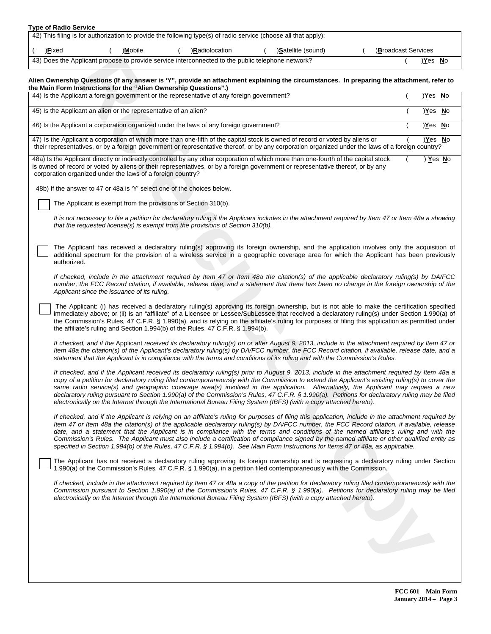|                                                                                                                 | <b>Type of Radio Service</b>                                                                                |  |         |  |               |  |                    |  |                           |
|-----------------------------------------------------------------------------------------------------------------|-------------------------------------------------------------------------------------------------------------|--|---------|--|---------------|--|--------------------|--|---------------------------|
| 42) This filing is for authorization to provide the following type(s) of radio service (choose all that apply): |                                                                                                             |  |         |  |               |  |                    |  |                           |
|                                                                                                                 | )Fixed                                                                                                      |  | )Mobile |  | Radiolocation |  | )Satellite (sound) |  | <b>Broadcast Services</b> |
|                                                                                                                 | 43) Does the Applicant propose to provide service interconnected to the public telephone network?<br>Yes No |  |         |  |               |  |                    |  |                           |

### **Alien Ownership Questions (If any answer is 'Y", provide an attachment explaining the circumstances. In preparing the attachment, refer to the Main Form Instructions for the "Alien Ownership Questions".)**

| 43) Does the Applicant propose to provide service interconnected to the public telephone network?                                                                                                                                                                                                                                                                                                                                                                                                                                                                                                                                                                                                                               | )Yes No  |  |
|---------------------------------------------------------------------------------------------------------------------------------------------------------------------------------------------------------------------------------------------------------------------------------------------------------------------------------------------------------------------------------------------------------------------------------------------------------------------------------------------------------------------------------------------------------------------------------------------------------------------------------------------------------------------------------------------------------------------------------|----------|--|
| Alien Ownership Questions (If any answer is 'Y", provide an attachment explaining the circumstances. In preparing the attachment, refer to<br>the Main Form Instructions for the "Alien Ownership Questions".)                                                                                                                                                                                                                                                                                                                                                                                                                                                                                                                  |          |  |
| 44) Is the Applicant a foreign government or the representative of any foreign government?                                                                                                                                                                                                                                                                                                                                                                                                                                                                                                                                                                                                                                      | )Yes No  |  |
| 45) Is the Applicant an alien or the representative of an alien?                                                                                                                                                                                                                                                                                                                                                                                                                                                                                                                                                                                                                                                                | )Yes No  |  |
| 46) Is the Applicant a corporation organized under the laws of any foreign government?                                                                                                                                                                                                                                                                                                                                                                                                                                                                                                                                                                                                                                          | )Yes No  |  |
| 47) Is the Applicant a corporation of which more than one-fifth of the capital stock is owned of record or voted by aliens or<br>their representatives, or by a foreign government or representative thereof, or by any corporation organized under the laws of a foreign country?                                                                                                                                                                                                                                                                                                                                                                                                                                              | )Yes No  |  |
| 48a) Is the Applicant directly or indirectly controlled by any other corporation of which more than one-fourth of the capital stock<br>is owned of record or voted by aliens or their representatives, or by a foreign government or representative thereof, or by any<br>corporation organized under the laws of a foreign country?                                                                                                                                                                                                                                                                                                                                                                                            | ) Yes No |  |
| 48b) If the answer to 47 or 48a is 'Y' select one of the choices below.                                                                                                                                                                                                                                                                                                                                                                                                                                                                                                                                                                                                                                                         |          |  |
| The Applicant is exempt from the provisions of Section 310(b).                                                                                                                                                                                                                                                                                                                                                                                                                                                                                                                                                                                                                                                                  |          |  |
| It is not necessary to file a petition for declaratory ruling if the Applicant includes in the attachment required by Item 47 or Item 48a a showing<br>that the requested license(s) is exempt from the provisions of Section 310(b).                                                                                                                                                                                                                                                                                                                                                                                                                                                                                           |          |  |
| The Applicant has received a declaratory ruling(s) approving its foreign ownership, and the application involves only the acquisition of<br>additional spectrum for the provision of a wireless service in a geographic coverage area for which the Applicant has been previously<br>authorized.                                                                                                                                                                                                                                                                                                                                                                                                                                |          |  |
| If checked, include in the attachment required by Item 47 or Item 48a the citation(s) of the applicable declaratory ruling(s) by DA/FCC<br>number, the FCC Record citation, if available, release date, and a statement that there has been no change in the foreign ownership of the<br>Applicant since the issuance of its ruling.                                                                                                                                                                                                                                                                                                                                                                                            |          |  |
| The Applicant: (i) has received a declaratory ruling(s) approving its foreign ownership, but is not able to make the certification specified<br>immediately above; or (ii) is an "affiliate" of a Licensee or Lessee/SubLessee that received a declaratory ruling(s) under Section 1.990(a) of<br>the Commission's Rules, 47 C.F.R. § 1.990(a), and is relying on the affiliate's ruling for purposes of filing this application as permitted under<br>the affiliate's ruling and Section 1.994(b) of the Rules, 47 C.F.R. § 1.994(b).                                                                                                                                                                                          |          |  |
| If checked, and if the Applicant received its declaratory ruling(s) on or after August 9, 2013, include in the attachment required by Item 47 or<br>Item 48a the citation(s) of the Applicant's declaratory ruling(s) by DA/FCC number, the FCC Record citation, if available, release date, and a<br>statement that the Applicant is in compliance with the terms and conditions of its ruling and with the Commission's Rules.                                                                                                                                                                                                                                                                                                |          |  |
| If checked, and if the Applicant received its declaratory ruling(s) prior to August 9, 2013, include in the attachment required by Item 48a a<br>copy of a petition for declaratory ruling filed contemporaneously with the Commission to extend the Applicant's existing ruling(s) to cover the<br>same radio service(s) and geographic coverage area(s) involved in the application. Alternatively, the Applicant may request a new<br>declaratory ruling pursuant to Section 1.990(a) of the Commission's Rules, 47 C.F.R. § 1.990(a). Petitions for declaratory ruling may be filed<br>electronically on the Internet through the International Bureau Filing System (IBFS) (with a copy attached hereto).                  |          |  |
| If checked, and if the Applicant is relying on an affiliate's ruling for purposes of filing this application, include in the attachment required by<br>Item 47 or Item 48a the citation(s) of the applicable declaratory ruling(s) by DA/FCC number, the FCC Record citation, if available, release<br>date, and a statement that the Applicant is in compliance with the terms and conditions of the named affiliate's ruling and with the<br>Commission's Rules. The Applicant must also include a certification of compliance signed by the named affiliate or other qualified entity as<br>specified in Section 1.994(b) of the Rules, 47 C.F.R. § 1.994(b). See Main Form Instructions for Items 47 or 48a, as applicable. |          |  |
| The Applicant has not received a declaratory ruling approving its foreign ownership and is requesting a declaratory ruling under Section<br>1.990(a) of the Commission's Rules, 47 C.F.R. § 1.990(a), in a petition filed contemporaneously with the Commission.                                                                                                                                                                                                                                                                                                                                                                                                                                                                |          |  |
| If checked, include in the attachment required by Item 47 or 48a a copy of the petition for declaratory ruling filed contemporaneously with the<br>Commission pursuant to Section 1.990(a) of the Commission's Rules, 47 C.F.R. § 1.990(a). Petitions for declaratory ruling may be filed<br>electronically on the Internet through the International Bureau Filing System (IBFS) (with a copy attached hereto).                                                                                                                                                                                                                                                                                                                |          |  |
|                                                                                                                                                                                                                                                                                                                                                                                                                                                                                                                                                                                                                                                                                                                                 |          |  |
| $\overline{\mathcal{L}}$                                                                                                                                                                                                                                                                                                                                                                                                                                                                                                                                                                                                                                                                                                        |          |  |
|                                                                                                                                                                                                                                                                                                                                                                                                                                                                                                                                                                                                                                                                                                                                 |          |  |
|                                                                                                                                                                                                                                                                                                                                                                                                                                                                                                                                                                                                                                                                                                                                 |          |  |
|                                                                                                                                                                                                                                                                                                                                                                                                                                                                                                                                                                                                                                                                                                                                 |          |  |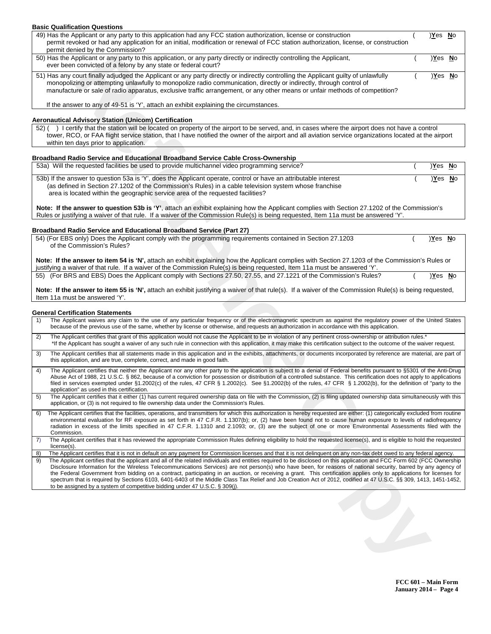# **Basic Qualification Questions**  49) Has the Applicant or any party to this application had any FCC station authorization, license or construction ( )**Y**es **N**o permit revoked or had any application for an initial, modification or renewal of FCC station authorization, license, or construction permit denied by the Commission? 50) Has the Applicant or any party to this application, or any party directly or indirectly controlling the Applicant, ( )**Y**es **N**o ever been convicted of a felony by any state or federal court? 51) Has any court finally adjudged the Applicant or any party directly or indirectly controlling the Applicant guilty of unlawfully ( )**Y**es **N**o monopolizing or attempting unlawfully to monopolize radio communication, directly or indirectly, through control of manufacture or sale of radio apparatus, exclusive traffic arrangement, or any other means or unfair methods of competition? If the answer to any of 49-51 is 'Y', attach an exhibit explaining the circumstances **Aeronautical Advisory Station (Unicom) Certification**

## **Broadband Radio Service and Educational Broadband Service Cable Cross-Ownership**

#### **Broadband Radio Service and Educational Broadband Service (Part 27)**

## **General Certification Statements**

|          | 50) Has the Applicant or any party to this application, or any party directly or indirectly controlling the Applicant,<br>ever been convicted of a felony by any state or federal court?                                                                                                                                                                                                                                                                                                                                                                                                                                                                                                                                                                                                                                                                                                                                                              | <u>)Yes No</u>        |  |
|----------|-------------------------------------------------------------------------------------------------------------------------------------------------------------------------------------------------------------------------------------------------------------------------------------------------------------------------------------------------------------------------------------------------------------------------------------------------------------------------------------------------------------------------------------------------------------------------------------------------------------------------------------------------------------------------------------------------------------------------------------------------------------------------------------------------------------------------------------------------------------------------------------------------------------------------------------------------------|-----------------------|--|
|          | 51) Has any court finally adjudged the Applicant or any party directly or indirectly controlling the Applicant guilty of unlawfully<br>monopolizing or attempting unlawfully to monopolize radio communication, directly or indirectly, through control of<br>manufacture or sale of radio apparatus, exclusive traffic arrangement, or any other means or unfair methods of competition?                                                                                                                                                                                                                                                                                                                                                                                                                                                                                                                                                             | <u>)Yes No</u>        |  |
|          | If the answer to any of 49-51 is 'Y', attach an exhibit explaining the circumstances.                                                                                                                                                                                                                                                                                                                                                                                                                                                                                                                                                                                                                                                                                                                                                                                                                                                                 |                       |  |
|          | Aeronautical Advisory Station (Unicom) Certification                                                                                                                                                                                                                                                                                                                                                                                                                                                                                                                                                                                                                                                                                                                                                                                                                                                                                                  |                       |  |
|          | 52) () I certify that the station will be located on property of the airport to be served, and, in cases where the airport does not have a control<br>tower, RCO, or FAA flight service station, that I have notified the owner of the airport and all aviation service organizations located at the airport<br>within ten days prior to application.                                                                                                                                                                                                                                                                                                                                                                                                                                                                                                                                                                                                 |                       |  |
|          | Broadband Radio Service and Educational Broadband Service Cable Cross-Ownership                                                                                                                                                                                                                                                                                                                                                                                                                                                                                                                                                                                                                                                                                                                                                                                                                                                                       |                       |  |
|          | 53a) Will the requested facilities be used to provide multichannel video programming service?                                                                                                                                                                                                                                                                                                                                                                                                                                                                                                                                                                                                                                                                                                                                                                                                                                                         | <u>Yes No</u>         |  |
|          | 53b) If the answer to question 53a is 'Y', does the Applicant operate, control or have an attributable interest<br>(as defined in Section 27.1202 of the Commission's Rules) in a cable television system whose franchise<br>area is located within the geographic service area of the requested facilities?                                                                                                                                                                                                                                                                                                                                                                                                                                                                                                                                                                                                                                          | $\underline{Y}$ es No |  |
|          | Note: If the answer to question 53b is 'Y', attach an exhibit explaining how the Applicant complies with Section 27.1202 of the Commission's<br>Rules or justifying a waiver of that rule. If a waiver of the Commission Rule(s) is being requested, Item 11a must be answered 'Y'.                                                                                                                                                                                                                                                                                                                                                                                                                                                                                                                                                                                                                                                                   |                       |  |
|          | <b>Broadband Radio Service and Educational Broadband Service (Part 27)</b>                                                                                                                                                                                                                                                                                                                                                                                                                                                                                                                                                                                                                                                                                                                                                                                                                                                                            |                       |  |
|          | 54) (For EBS only) Does the Applicant comply with the programming requirements contained in Section 27.1203<br>of the Commission's Rules?                                                                                                                                                                                                                                                                                                                                                                                                                                                                                                                                                                                                                                                                                                                                                                                                             | <u>Yes No</u>         |  |
|          | Note: If the answer to item 54 is 'N', attach an exhibit explaining how the Applicant complies with Section 27.1203 of the Commission's Rules or<br>justifying a waiver of that rule. If a waiver of the Commission Rule(s) is being requested, Item 11a must be answered 'Y'.                                                                                                                                                                                                                                                                                                                                                                                                                                                                                                                                                                                                                                                                        |                       |  |
|          | 55) (For BRS and EBS) Does the Applicant comply with Sections 27.50, 27.55, and 27.1221 of the Commission's Rules?                                                                                                                                                                                                                                                                                                                                                                                                                                                                                                                                                                                                                                                                                                                                                                                                                                    | )Yes No               |  |
|          | Note: If the answer to item 55 is 'N', attach an exhibit justifying a waiver of that rule(s). If a waiver of the Commission Rule(s) is being requested,<br>Item 11a must be answered 'Y'.                                                                                                                                                                                                                                                                                                                                                                                                                                                                                                                                                                                                                                                                                                                                                             |                       |  |
|          | <b>General Certification Statements</b>                                                                                                                                                                                                                                                                                                                                                                                                                                                                                                                                                                                                                                                                                                                                                                                                                                                                                                               |                       |  |
| 1)       | The Applicant waives any claim to the use of any particular frequency or of the electromagnetic spectrum as against the regulatory power of the United States<br>because of the previous use of the same, whether by license or otherwise, and requests an authorization in accordance with this application.                                                                                                                                                                                                                                                                                                                                                                                                                                                                                                                                                                                                                                         |                       |  |
| 2)       | The Applicant certifies that grant of this application would not cause the Applicant to be in violation of any pertinent cross-ownership or attribution rules.*<br>*If the Applicant has sought a waiver of any such rule in connection with this application, it may make this certification subject to the outcome of the waiver request.                                                                                                                                                                                                                                                                                                                                                                                                                                                                                                                                                                                                           |                       |  |
| 3)       | The Applicant certifies that all statements made in this application and in the exhibits, attachments, or documents incorporated by reference are material, are part of<br>this application, and are true, complete, correct, and made in good faith.                                                                                                                                                                                                                                                                                                                                                                                                                                                                                                                                                                                                                                                                                                 |                       |  |
| 4)       | The Applicant certifies that neither the Applicant nor any other party to the application is subject to a denial of Federal benefits pursuant to §5301 of the Anti-Drug<br>Abuse Act of 1988, 21 U.S.C. § 862, because of a conviction for possession or distribution of a controlled substance. This certification does not apply to applications<br>filed in services exempted under §1.2002(c) of the rules, 47 CFR § 1.2002(c). See §1.2002(b) of the rules, 47 CFR § 1.2002(b), for the definition of "party to the<br>application" as used in this certification.                                                                                                                                                                                                                                                                                                                                                                               |                       |  |
| 5)       | The Applicant certifies that it either (1) has current required ownership data on file with the Commission, (2) is filing updated ownership data simultaneously with this<br>application, or (3) is not required to file ownership data under the Commission's Rules.                                                                                                                                                                                                                                                                                                                                                                                                                                                                                                                                                                                                                                                                                 |                       |  |
|          | The Applicant certifies that the facilities, operations, and transmitters for which this authorization is hereby requested are either: (1) categorically excluded from routine<br>environmental evaluation for RF exposure as set forth in 47 C.F.R. 1.1307(b); or, (2) have been found not to cause human exposure to levels of radiofrequency<br>radiation in excess of the limits specified in 47 C.F.R. 1.1310 and 2.1093; or, (3) are the subject of one or more Environmental Assessments filed with the<br>Commission.                                                                                                                                                                                                                                                                                                                                                                                                                         |                       |  |
| 7)       | The Applicant certifies that it has reviewed the appropriate Commission Rules defining eligibility to hold the requested license(s), and is eligible to hold the requested<br>license(s).                                                                                                                                                                                                                                                                                                                                                                                                                                                                                                                                                                                                                                                                                                                                                             |                       |  |
| 8)<br>9) | The Applicant certifies that it is not in default on any payment for Commission licenses and that it is not delinquent on any non-tax debt owed to any federal agency.<br>The Applicant certifies that the applicant and all of the related individuals and entities required to be disclosed on this application and FCC Form 602 (FCC Ownership<br>Disclosure Information for the Wireless Telecommunications Services) are not person(s) who have been, for reasons of national security, barred by any agency of<br>the Federal Government from bidding on a contract, participating in an auction, or receiving a grant. This certification applies only to applications for licenses for<br>spectrum that is required by Sections 6103, 6401-6403 of the Middle Class Tax Relief and Job Creation Act of 2012, codified at 47 U.S.C. §§ 309, 1413, 1451-1452,<br>to be assigned by a system of competitive bidding under 47 U.S.C. $\S$ 309(j). |                       |  |
|          |                                                                                                                                                                                                                                                                                                                                                                                                                                                                                                                                                                                                                                                                                                                                                                                                                                                                                                                                                       |                       |  |
|          | $\sum$                                                                                                                                                                                                                                                                                                                                                                                                                                                                                                                                                                                                                                                                                                                                                                                                                                                                                                                                                |                       |  |
|          |                                                                                                                                                                                                                                                                                                                                                                                                                                                                                                                                                                                                                                                                                                                                                                                                                                                                                                                                                       |                       |  |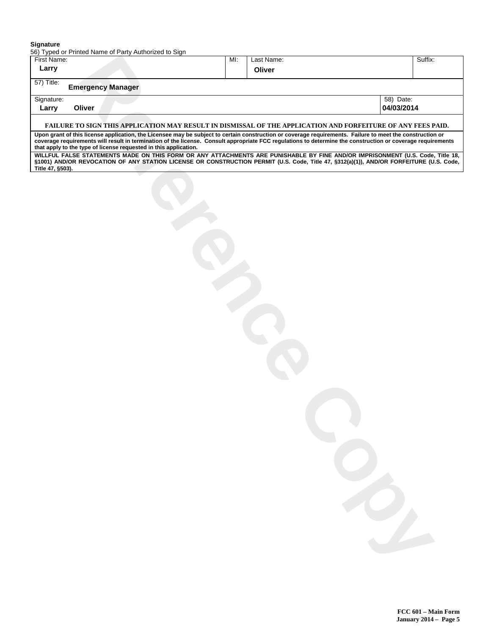#### **Signature**

56) Typed or Printed Name of Party Authorized to Sign

| First Name:      |                          |                                                                                                                                                                                                                                                                                                                          | MI: | Last Name: | Suffix:    |
|------------------|--------------------------|--------------------------------------------------------------------------------------------------------------------------------------------------------------------------------------------------------------------------------------------------------------------------------------------------------------------------|-----|------------|------------|
| Larry            |                          |                                                                                                                                                                                                                                                                                                                          |     | Oliver     |            |
| 57) Title:       | <b>Emergency Manager</b> |                                                                                                                                                                                                                                                                                                                          |     |            |            |
| Signature:       |                          |                                                                                                                                                                                                                                                                                                                          |     |            | 58) Date:  |
| Larry            | Oliver                   |                                                                                                                                                                                                                                                                                                                          |     |            | 04/03/2014 |
|                  |                          | FAILURE TO SIGN THIS APPLICATION MAY RESULT IN DISMISSAL OF THE APPLICATION AND FORFEITURE OF ANY FEES PAID.                                                                                                                                                                                                             |     |            |            |
|                  |                          | Upon grant of this license application, the Licensee may be subject to certain construction or coverage requirements. Failure to meet the construction or<br>coverage requirements will result in termination of the license. Consult appropriate FCC regulations to determine the construction or coverage requirements |     |            |            |
|                  |                          | that apply to the type of license requested in this application.<br>WILLFUL FALSE STATEMENTS MADE ON THIS FORM OR ANY ATTACHMENTS ARE PUNISHABLE BY FINE AND/OR IMPRISONMENT (U.S. Code, Title 18,                                                                                                                       |     |            |            |
| Title 47, §503). |                          | §1001) AND/OR REVOCATION OF ANY STATION LICENSE OR CONSTRUCTION PERMIT (U.S. Code, Title 47, §312(a)(1)), AND/OR FORFEITURE (U.S. Code,                                                                                                                                                                                  |     |            |            |
|                  |                          |                                                                                                                                                                                                                                                                                                                          |     |            |            |
|                  |                          |                                                                                                                                                                                                                                                                                                                          |     |            |            |
|                  |                          |                                                                                                                                                                                                                                                                                                                          |     |            |            |
|                  |                          |                                                                                                                                                                                                                                                                                                                          |     |            |            |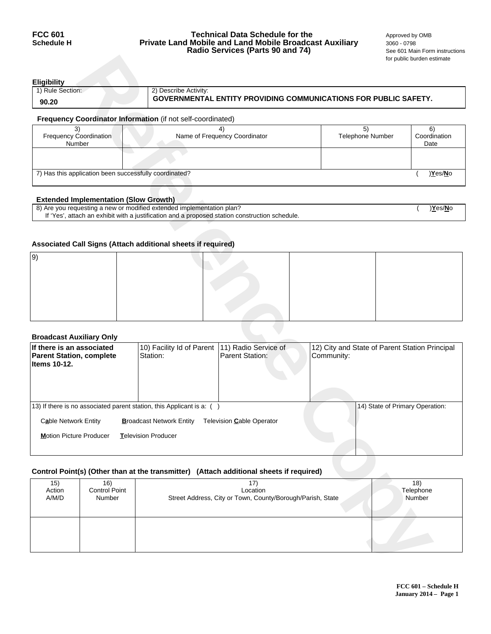## **FCC 601 Technical Data Schedule for the** <br>**Schedule H Private Land Mobile and Land Mobile Broadcast Auxiliary** 3060 - 0798 **Private Land Mobile and Land Mobile Broadcast Auxiliary** 3060 - 0798<br>**Radio Services (Parts 90 and 74)** See 601 Main Form instructions **Radio Services (Parts 90 and 74)**

| Eligibility      |                                                                        |
|------------------|------------------------------------------------------------------------|
| 1) Rule Section: | 2) Describe Activity:                                                  |
| 90.20            | <b>GOVERNMENTAL ENTITY PROVIDING COMMUNICATIONS FOR PUBLIC SAFETY.</b> |
|                  |                                                                        |

# **Frequency Coordinator Information** (if not self-coordinated)

| <b>Frequency Coordination</b><br>Number                | Name of Frequency Coordinator | <b>Telephone Number</b> | Coordination<br>Date |
|--------------------------------------------------------|-------------------------------|-------------------------|----------------------|
|                                                        |                               |                         |                      |
| 7) Has this application been successfully coordinated? |                               |                         | )Yes/No              |

# **Extended Implementation (Slow Growth)**

| 8) Are you requesting a new or modified extended implementation plan?                          | )Yes/No |
|------------------------------------------------------------------------------------------------|---------|
| If 'Yes', attach an exhibit with a justification and a proposed station construction schedule. |         |

## **Associated Call Signs (Attach additional sheets if required)**

| 9 |  |  |
|---|--|--|
|   |  |  |
|   |  |  |
|   |  |  |
|   |  |  |
|   |  |  |

## **Broadcast Auxiliary Only**

|                                                                              |                                                        |                                                                       |                                                                                                |            |                                                | for public burden estimate |
|------------------------------------------------------------------------------|--------------------------------------------------------|-----------------------------------------------------------------------|------------------------------------------------------------------------------------------------|------------|------------------------------------------------|----------------------------|
| <b>Eligibility</b>                                                           |                                                        |                                                                       |                                                                                                |            |                                                |                            |
| 1) Rule Section:                                                             |                                                        | 2) Describe Activity:                                                 | <b>GOVERNMENTAL ENTITY PROVIDING COMMUNICATIONS FOR PUBLIC SAFETY.</b>                         |            |                                                |                            |
| 90.20                                                                        |                                                        |                                                                       |                                                                                                |            |                                                |                            |
|                                                                              |                                                        | Frequency Coordinator Information (if not self-coordinated)           |                                                                                                |            |                                                |                            |
| 3)<br>Frequency Coordination<br>Number                                       |                                                        |                                                                       | 4)<br>Name of Frequency Coordinator                                                            |            | 5)<br>Telephone Number                         | 6)<br>Coordination<br>Date |
|                                                                              |                                                        |                                                                       |                                                                                                |            |                                                |                            |
|                                                                              | 7) Has this application been successfully coordinated? |                                                                       |                                                                                                |            |                                                | )Yes/No                    |
|                                                                              | <b>Extended Implementation (Slow Growth)</b>           |                                                                       |                                                                                                |            |                                                |                            |
|                                                                              |                                                        | 8) Are you requesting a new or modified extended implementation plan? | If 'Yes', attach an exhibit with a justification and a proposed station construction schedule. |            |                                                | )Yes/No                    |
|                                                                              |                                                        |                                                                       |                                                                                                |            |                                                |                            |
|                                                                              |                                                        | Associated Call Signs (Attach additional sheets if required)          |                                                                                                |            |                                                |                            |
| 9)                                                                           |                                                        |                                                                       |                                                                                                |            |                                                |                            |
|                                                                              |                                                        |                                                                       |                                                                                                |            |                                                |                            |
|                                                                              |                                                        |                                                                       |                                                                                                |            |                                                |                            |
|                                                                              |                                                        |                                                                       |                                                                                                |            |                                                |                            |
|                                                                              |                                                        |                                                                       |                                                                                                |            |                                                |                            |
| <b>Broadcast Auxiliary Only</b>                                              |                                                        |                                                                       |                                                                                                |            |                                                |                            |
| If there is an associated<br><b>Parent Station, complete</b><br>Items 10-12. |                                                        | 10) Facility Id of Parent<br>Station:                                 | 11) Radio Service of<br><b>Parent Station:</b>                                                 | Community: | 12) City and State of Parent Station Principal |                            |
|                                                                              |                                                        |                                                                       |                                                                                                |            |                                                |                            |
|                                                                              |                                                        | 13) If there is no associated parent station, this Applicant is a: () |                                                                                                |            | 14) State of Primary Operation:                |                            |
| Cable Network Entity                                                         |                                                        | <b>Broadcast Network Entity</b>                                       | Television Cable Operator                                                                      |            |                                                |                            |
| <b>Motion Picture Producer</b>                                               |                                                        | Television Producer                                                   |                                                                                                |            |                                                |                            |
|                                                                              |                                                        |                                                                       |                                                                                                |            |                                                |                            |
|                                                                              |                                                        |                                                                       | Control Point(s) (Other than at the transmitter) (Attach additional sheets if required)        |            |                                                |                            |
| 15)<br>Action<br>A/M/D                                                       | 16)<br>Control Point<br>Number                         |                                                                       | 17)<br>Location<br>Street Address, City or Town, County/Borough/Parish, State                  |            |                                                | 18)<br>Telephone<br>Number |
|                                                                              |                                                        |                                                                       |                                                                                                |            |                                                |                            |
|                                                                              |                                                        |                                                                       |                                                                                                |            |                                                |                            |

## **Control Point(s) (Other than at the transmitter) (Attach additional sheets if required)**

| 15)    | 16)                  | 17                                                         | 18)       |
|--------|----------------------|------------------------------------------------------------|-----------|
| Action | <b>Control Point</b> | Location                                                   | Telephone |
| A/M/D  | Number               | Street Address, City or Town, County/Borough/Parish, State | Number    |
|        |                      |                                                            |           |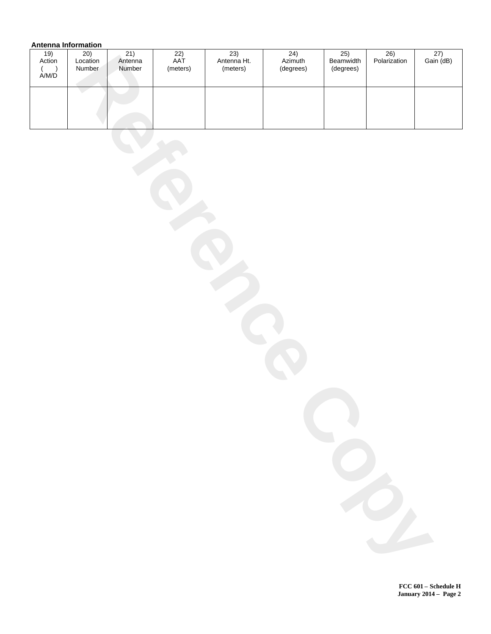# **Antenna Information**

| <br>$\frac{19}{\text{Action}}$                  | <br>20)<br>Location<br>Number | 21)<br>Antenna<br>Number | $\overline{22)}$<br>AAT<br>(meters) | 23)<br>Antenna Ht.<br>(meters) | 24)<br>Azimuth<br>(degrees) | 25)<br>Beamwidth<br>(degrees) | 26)<br>Polarization | $\frac{27}{\text{Gain}(\text{dB})}$ |
|-------------------------------------------------|-------------------------------|--------------------------|-------------------------------------|--------------------------------|-----------------------------|-------------------------------|---------------------|-------------------------------------|
| $\begin{array}{c} ( \ \hbox{A/M/D} \end{array}$ |                               |                          |                                     |                                |                             |                               |                     |                                     |
|                                                 |                               |                          |                                     |                                |                             |                               |                     |                                     |
|                                                 |                               |                          |                                     |                                |                             |                               |                     |                                     |
|                                                 |                               |                          |                                     |                                |                             |                               |                     |                                     |
|                                                 |                               |                          |                                     |                                |                             |                               |                     |                                     |
|                                                 |                               |                          |                                     |                                |                             |                               |                     |                                     |
|                                                 |                               |                          |                                     |                                |                             |                               |                     |                                     |
|                                                 |                               |                          |                                     |                                |                             |                               |                     |                                     |
|                                                 |                               |                          |                                     |                                |                             |                               |                     |                                     |
|                                                 |                               |                          |                                     |                                |                             |                               |                     |                                     |
|                                                 |                               |                          |                                     |                                |                             |                               |                     |                                     |
|                                                 |                               |                          |                                     |                                |                             |                               |                     |                                     |
|                                                 |                               |                          |                                     |                                |                             |                               |                     |                                     |
|                                                 |                               |                          |                                     |                                |                             |                               |                     |                                     |
|                                                 |                               |                          |                                     |                                |                             |                               |                     |                                     |
|                                                 |                               |                          |                                     |                                |                             |                               |                     |                                     |
|                                                 |                               |                          |                                     |                                |                             |                               |                     |                                     |
|                                                 |                               |                          |                                     |                                |                             |                               |                     |                                     |
|                                                 |                               |                          |                                     |                                |                             |                               |                     |                                     |
|                                                 |                               |                          |                                     |                                |                             |                               |                     |                                     |
|                                                 |                               |                          |                                     |                                |                             |                               |                     |                                     |
|                                                 |                               |                          |                                     |                                |                             |                               |                     |                                     |
|                                                 |                               |                          |                                     |                                |                             |                               |                     |                                     |
|                                                 |                               |                          |                                     |                                |                             |                               |                     |                                     |
|                                                 |                               |                          |                                     |                                |                             |                               |                     |                                     |
|                                                 |                               |                          |                                     |                                |                             |                               |                     |                                     |
|                                                 |                               |                          |                                     |                                |                             |                               |                     |                                     |
|                                                 |                               |                          |                                     |                                |                             |                               |                     |                                     |

**FCC 601 Schedule H January 2014 Page 2**